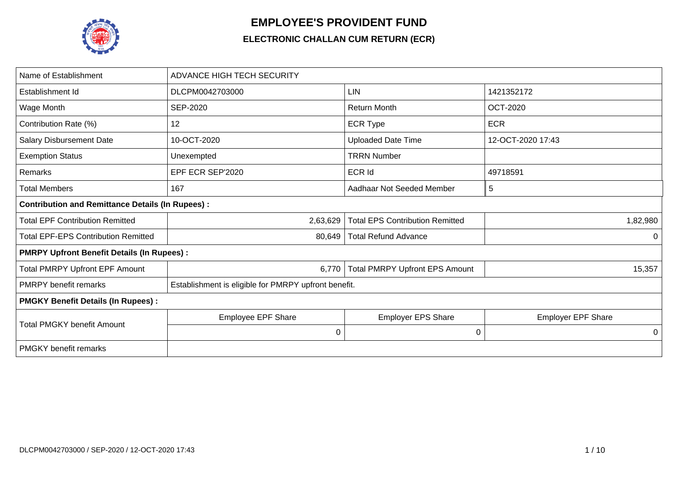

## **EMPLOYEE'S PROVIDENT FUND**

## **ELECTRONIC CHALLAN CUM RETURN (ECR)**

| Name of Establishment                                   | <b>ADVANCE HIGH TECH SECURITY</b>                    |                                        |                           |  |  |  |  |  |  |  |  |
|---------------------------------------------------------|------------------------------------------------------|----------------------------------------|---------------------------|--|--|--|--|--|--|--|--|
| Establishment Id                                        | DLCPM0042703000                                      | LIN                                    | 1421352172                |  |  |  |  |  |  |  |  |
| Wage Month                                              | <b>SEP-2020</b>                                      | <b>Return Month</b>                    | <b>OCT-2020</b>           |  |  |  |  |  |  |  |  |
| Contribution Rate (%)                                   | 12                                                   | <b>ECR Type</b>                        | <b>ECR</b>                |  |  |  |  |  |  |  |  |
| Salary Disbursement Date                                | 10-OCT-2020                                          | <b>Uploaded Date Time</b>              | 12-OCT-2020 17:43         |  |  |  |  |  |  |  |  |
| <b>Exemption Status</b>                                 | Unexempted                                           | <b>TRRN Number</b>                     |                           |  |  |  |  |  |  |  |  |
| Remarks                                                 | EPF ECR SEP'2020                                     | <b>ECR Id</b>                          | 49718591                  |  |  |  |  |  |  |  |  |
| <b>Total Members</b>                                    | 167                                                  | Aadhaar Not Seeded Member              | 5                         |  |  |  |  |  |  |  |  |
| <b>Contribution and Remittance Details (In Rupees):</b> |                                                      |                                        |                           |  |  |  |  |  |  |  |  |
| <b>Total EPF Contribution Remitted</b>                  | 2,63,629                                             | <b>Total EPS Contribution Remitted</b> | 1,82,980                  |  |  |  |  |  |  |  |  |
| <b>Total EPF-EPS Contribution Remitted</b>              | 80,649                                               | <b>Total Refund Advance</b>            | $\Omega$                  |  |  |  |  |  |  |  |  |
| <b>PMRPY Upfront Benefit Details (In Rupees):</b>       |                                                      |                                        |                           |  |  |  |  |  |  |  |  |
| <b>Total PMRPY Upfront EPF Amount</b>                   | 6,770                                                | <b>Total PMRPY Upfront EPS Amount</b>  | 15,357                    |  |  |  |  |  |  |  |  |
| <b>PMRPY</b> benefit remarks                            | Establishment is eligible for PMRPY upfront benefit. |                                        |                           |  |  |  |  |  |  |  |  |
| <b>PMGKY Benefit Details (In Rupees):</b>               |                                                      |                                        |                           |  |  |  |  |  |  |  |  |
| <b>Total PMGKY benefit Amount</b>                       | <b>Employee EPF Share</b>                            | <b>Employer EPS Share</b>              | <b>Employer EPF Share</b> |  |  |  |  |  |  |  |  |
|                                                         | $\mathbf 0$                                          | 0                                      | 0                         |  |  |  |  |  |  |  |  |
| <b>PMGKY</b> benefit remarks                            |                                                      |                                        |                           |  |  |  |  |  |  |  |  |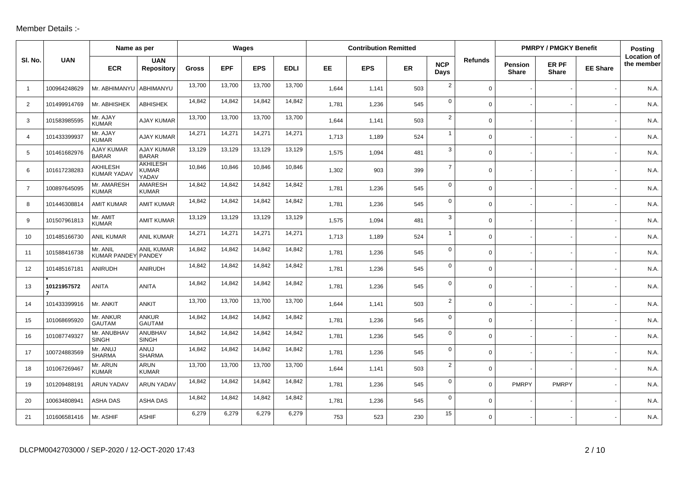## Member Details :-

|                | <b>UAN</b><br>SI. No. | Name as per                       |                                          |              |            | Wages      |             |       | <b>Contribution Remitted</b> |           |                    |                |                                | <b>PMRPY / PMGKY Benefit</b> |                 | <b>Posting</b>                   |
|----------------|-----------------------|-----------------------------------|------------------------------------------|--------------|------------|------------|-------------|-------|------------------------------|-----------|--------------------|----------------|--------------------------------|------------------------------|-----------------|----------------------------------|
|                |                       | <b>ECR</b>                        | <b>UAN</b><br><b>Repository</b>          | <b>Gross</b> | <b>EPF</b> | <b>EPS</b> | <b>EDLI</b> | EE    | <b>EPS</b>                   | <b>ER</b> | <b>NCP</b><br>Days | <b>Refunds</b> | <b>Pension</b><br><b>Share</b> | ER PF<br><b>Share</b>        | <b>EE Share</b> | <b>Location of</b><br>the member |
| $\overline{1}$ | 100964248629          | Mr. ABHIMANYU                     | ABHIMANYU                                | 13,700       | 13,700     | 13,700     | 13,700      | 1,644 | 1,141                        | 503       | $\overline{2}$     | $\Omega$       |                                |                              |                 | N.A                              |
| 2              | 101499914769          | Mr. ABHISHEK                      | <b>ABHISHEK</b>                          | 14,842       | 14,842     | 14,842     | 14,842      | 1,781 | 1,236                        | 545       | $\mathbf 0$        | $\Omega$       |                                |                              |                 | N.A.                             |
| 3              | 101583985595          | Mr. AJAY<br><b>KUMAR</b>          | <b>AJAY KUMAR</b>                        | 13,700       | 13,700     | 13,700     | 13,700      | 1,644 | 1,141                        | 503       | $\overline{2}$     | $\Omega$       |                                |                              |                 | N.A.                             |
| $\overline{4}$ | 101433399937          | Mr. AJAY<br><b>KUMAR</b>          | <b>AJAY KUMAR</b>                        | 14,271       | 14,271     | 14,271     | 14,271      | 1,713 | 1,189                        | 524       | $\mathbf{1}$       | $\Omega$       |                                |                              |                 | N.A.                             |
| 5              | 101461682976          | <b>AJAY KUMAR</b><br><b>BARAR</b> | <b>AJAY KUMAR</b><br><b>BARAR</b>        | 13,129       | 13,129     | 13,129     | 13,129      | 1,575 | 1,094                        | 481       | 3                  | 0              |                                |                              |                 | N.A.                             |
| 6              | 101617238283          | AKHILESH<br><b>KUMAR YADAV</b>    | <b>AKHILESH</b><br><b>KUMAR</b><br>YADAV | 10,846       | 10,846     | 10,846     | 10,846      | 1,302 | 903                          | 399       | $\overline{7}$     | $\Omega$       |                                |                              |                 | N.A.                             |
| $\overline{7}$ | 100897645095          | Mr. AMARESH<br><b>KUMAR</b>       | AMARESH<br><b>KUMAR</b>                  | 14,842       | 14,842     | 14,842     | 14,842      | 1,781 | 1,236                        | 545       | $\mathbf 0$        | 0              |                                |                              |                 | N.A.                             |
| 8              | 101446308814          | <b>AMIT KUMAR</b>                 | <b>AMIT KUMAR</b>                        | 14,842       | 14,842     | 14,842     | 14,842      | 1,781 | 1,236                        | 545       | $\mathbf 0$        | $\mathbf 0$    |                                |                              |                 | N.A.                             |
| 9              | 101507961813          | Mr. AMIT<br><b>KUMAR</b>          | <b>AMIT KUMAR</b>                        | 13,129       | 13,129     | 13,129     | 13,129      | 1,575 | 1,094                        | 481       | 3                  | $\mathbf 0$    |                                |                              |                 | N.A.                             |
| 10             | 101485166730          | <b>ANIL KUMAR</b>                 | <b>ANIL KUMAR</b>                        | 14,271       | 14,271     | 14,271     | 14,271      | 1,713 | 1,189                        | 524       | $\mathbf{1}$       | 0              |                                |                              |                 | N.A.                             |
| 11             | 101588416738          | Mr. ANIL<br>KUMAR PANDEY PANDEY   | ANIL KUMAR                               | 14,842       | 14,842     | 14,842     | 14,842      | 1,781 | 1,236                        | 545       | $\mathbf 0$        | $\overline{0}$ |                                |                              |                 | N.A.                             |
| 12             | 101485167181          | ANIRUDH                           | ANIRUDH                                  | 14,842       | 14,842     | 14,842     | 14,842      | 1,781 | 1,236                        | 545       | $\mathbf 0$        | $\Omega$       |                                |                              |                 | N.A.                             |
| 13             | 10121957572<br>7      | <b>ANITA</b>                      | <b>ANITA</b>                             | 14,842       | 14,842     | 14,842     | 14,842      | 1,781 | 1,236                        | 545       | $\mathbf 0$        | $\Omega$       |                                |                              |                 | N.A                              |
| 14             | 101433399916          | Mr. ANKIT                         | <b>ANKIT</b>                             | 13,700       | 13,700     | 13,700     | 13,700      | 1,644 | 1,141                        | 503       | $\overline{2}$     | 0              |                                |                              |                 | N.A.                             |
| 15             | 101068695920          | Mr. ANKUR<br><b>GAUTAM</b>        | <b>ANKUR</b><br><b>GAUTAM</b>            | 14,842       | 14,842     | 14,842     | 14,842      | 1,781 | 1,236                        | 545       | $\mathbf 0$        | $\Omega$       |                                |                              |                 | N.A                              |
| 16             | 101087749327          | Mr. ANUBHAV<br><b>SINGH</b>       | ANUBHAV<br><b>SINGH</b>                  | 14,842       | 14,842     | 14,842     | 14,842      | 1,781 | 1,236                        | 545       | $\mathbf 0$        | $\mathbf 0$    |                                |                              |                 | N.A.                             |
| 17             | 100724883569          | Mr. ANUJ<br><b>SHARMA</b>         | ANUJ<br><b>SHARMA</b>                    | 14,842       | 14,842     | 14,842     | 14,842      | 1,781 | 1,236                        | 545       | $\mathbf 0$        | $\Omega$       |                                |                              |                 | N.A.                             |
| 18             | 101067269467          | Mr. ARUN<br><b>KUMAR</b>          | <b>ARUN</b><br><b>KUMAR</b>              | 13,700       | 13,700     | 13,700     | 13,700      | 1.644 | 1,141                        | 503       | $\overline{2}$     | $\Omega$       |                                |                              |                 | N.A.                             |
| 19             | 101209488191          | ARUN YADAV                        | <b>ARUN YADAV</b>                        | 14,842       | 14,842     | 14,842     | 14,842      | 1,781 | 1,236                        | 545       | $\mathbf 0$        | $\mathbf 0$    | <b>PMRPY</b>                   | <b>PMRPY</b>                 |                 | N.A.                             |
| 20             | 100634808941          | ASHA DAS                          | ASHA DAS                                 | 14,842       | 14,842     | 14,842     | 14,842      | 1,781 | 1,236                        | 545       | $\mathbf 0$        | 0              |                                |                              |                 | N.A.                             |
| 21             | 101606581416          | Mr. ASHIF                         | <b>ASHIF</b>                             | 6,279        | 6,279      | 6,279      | 6,279       | 753   | 523                          | 230       | 15                 | $\Omega$       |                                |                              |                 | N.A.                             |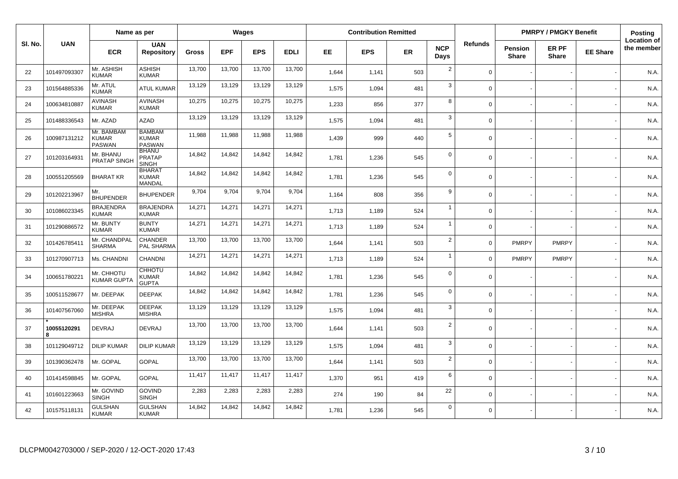|         |                  | Name as per                                 |                                                |              | Wages      |            |             |       | <b>Contribution Remitted</b> |           |                    |                |                         | <b>PMRPY / PMGKY Benefit</b> |                 | Posting                          |
|---------|------------------|---------------------------------------------|------------------------------------------------|--------------|------------|------------|-------------|-------|------------------------------|-----------|--------------------|----------------|-------------------------|------------------------------|-----------------|----------------------------------|
| SI. No. | <b>UAN</b>       | <b>ECR</b>                                  | <b>UAN</b><br><b>Repository</b>                | <b>Gross</b> | <b>EPF</b> | <b>EPS</b> | <b>EDLI</b> | EE.   | <b>EPS</b>                   | <b>ER</b> | <b>NCP</b><br>Days | <b>Refunds</b> | <b>Pension</b><br>Share | ER PF<br><b>Share</b>        | <b>EE Share</b> | <b>Location of</b><br>the member |
| 22      | 101497093307     | Mr. ASHISH<br><b>KUMAR</b>                  | <b>ASHISH</b><br><b>KUMAR</b>                  | 13,700       | 13,700     | 13,700     | 13,700      | 1,644 | 1,141                        | 503       | $\sqrt{2}$         | $\mathbf 0$    |                         |                              |                 | N.A.                             |
| 23      | 101564885336     | Mr. ATUL<br><b>KUMAR</b>                    | <b>ATUL KUMAR</b>                              | 13,129       | 13,129     | 13,129     | 13,129      | 1,575 | 1,094                        | 481       | 3                  | $\Omega$       |                         |                              |                 | N.A.                             |
| 24      | 100634810887     | <b>AVINASH</b><br><b>KUMAR</b>              | <b>AVINASH</b><br><b>KUMAR</b>                 | 10,275       | 10,275     | 10,275     | 10,275      | 1,233 | 856                          | 377       | 8                  | $\Omega$       |                         |                              |                 | N.A.                             |
| 25      | 101488336543     | Mr. AZAD                                    | <b>AZAD</b>                                    | 13,129       | 13,129     | 13,129     | 13,129      | 1,575 | 1,094                        | 481       | 3                  | $\Omega$       |                         |                              |                 | N.A.                             |
| 26      | 100987131212     | Mr. BAMBAM<br><b>KUMAR</b><br><b>PASWAN</b> | <b>BAMBAM</b><br><b>KUMAR</b><br><b>PASWAN</b> | 11,988       | 11,988     | 11,988     | 11,988      | 1,439 | 999                          | 440       | $\sqrt{5}$         | $\mathbf 0$    |                         |                              |                 | N.A.                             |
| 27      | 101203164931     | Mr. BHANU<br><b>PRATAP SINGH</b>            | <b>BHANU</b><br><b>PRATAP</b><br>SINGH         | 14,842       | 14,842     | 14,842     | 14,842      | 1,781 | 1,236                        | 545       | $\mathbf 0$        | $\Omega$       |                         |                              |                 | N.A.                             |
| 28      | 100551205569     | <b>BHARAT KR</b>                            | <b>BHARAT</b><br><b>KUMAR</b><br><b>MANDAL</b> | 14,842       | 14,842     | 14,842     | 14,842      | 1,781 | 1,236                        | 545       | $\mathbf 0$        | $\mathbf 0$    |                         |                              |                 | N.A.                             |
| 29      | 101202213967     | Mr.<br><b>BHUPENDER</b>                     | <b>BHUPENDER</b>                               | 9,704        | 9,704      | 9,704      | 9,704       | 1,164 | 808                          | 356       | 9                  | $\Omega$       |                         |                              |                 | N.A.                             |
| 30      | 101086023345     | <b>BRAJENDRA</b><br><b>KUMAR</b>            | <b>BRAJENDRA</b><br><b>KUMAR</b>               | 14,271       | 14,271     | 14,271     | 14,271      | 1,713 | 1,189                        | 524       | $\mathbf{1}$       | $\Omega$       |                         |                              |                 | N.A.                             |
| 31      | 101290886572     | Mr. BUNTY<br><b>KUMAR</b>                   | <b>BUNTY</b><br><b>KUMAR</b>                   | 14,271       | 14,271     | 14,271     | 14,271      | 1,713 | 1,189                        | 524       | $\overline{1}$     | $\Omega$       |                         |                              |                 | N.A.                             |
| 32      | 101426785411     | Mr. CHANDPAL<br><b>SHARMA</b>               | CHANDER<br>PAL SHARMA                          | 13,700       | 13,700     | 13,700     | 13,700      | 1,644 | 1,141                        | 503       | $\overline{2}$     | $\Omega$       | <b>PMRPY</b>            | <b>PMRPY</b>                 |                 | N.A.                             |
| 33      | 101270907713     | Ms. CHANDNI                                 | <b>CHANDNI</b>                                 | 14,271       | 14,271     | 14,271     | 14,271      | 1,713 | 1,189                        | 524       | $\overline{1}$     | $\mathbf 0$    | <b>PMRPY</b>            | <b>PMRPY</b>                 |                 | N.A.                             |
| 34      | 100651780221     | Mr. CHHOTU<br><b>KUMAR GUPTA</b>            | <b>CHHOTU</b><br><b>KUMAR</b><br><b>GUPTA</b>  | 14,842       | 14,842     | 14,842     | 14,842      | 1,781 | 1,236                        | 545       | $\mathbf 0$        | $\Omega$       |                         |                              |                 | N.A.                             |
| 35      | 100511528677     | Mr. DEEPAK                                  | <b>DEEPAK</b>                                  | 14,842       | 14,842     | 14,842     | 14,842      | 1,781 | 1,236                        | 545       | $\mathbf 0$        | $\Omega$       |                         |                              |                 | N.A.                             |
| 36      | 101407567060     | Mr. DEEPAK<br><b>MISHRA</b>                 | <b>DEEPAK</b><br><b>MISHRA</b>                 | 13,129       | 13,129     | 13,129     | 13,129      | 1,575 | 1,094                        | 481       | 3                  | $\Omega$       |                         |                              |                 | N.A.                             |
| 37      | 10055120291<br>8 | <b>DEVRAJ</b>                               | <b>DEVRAJ</b>                                  | 13,700       | 13,700     | 13,700     | 13,700      | 1,644 | 1,141                        | 503       | $\overline{2}$     | $\Omega$       |                         |                              |                 | N.A.                             |
| 38      | 101129049712     | <b>DILIP KUMAR</b>                          | <b>DILIP KUMAR</b>                             | 13,129       | 13,129     | 13,129     | 13,129      | 1,575 | 1,094                        | 481       | 3                  | $\Omega$       |                         |                              |                 | N.A.                             |
| 39      | 101390362478     | Mr. GOPAL                                   | <b>GOPAL</b>                                   | 13,700       | 13,700     | 13,700     | 13,700      | 1,644 | 1,141                        | 503       | $\overline{2}$     | $\mathbf 0$    |                         |                              |                 | N.A.                             |
| 40      | 101414598845     | Mr. GOPAL                                   | <b>GOPAL</b>                                   | 11,417       | 11,417     | 11,417     | 11,417      | 1,370 | 951                          | 419       | 6                  | $\mathbf 0$    |                         |                              |                 | N.A.                             |
| 41      | 101601223663     | Mr. GOVIND<br><b>SINGH</b>                  | <b>GOVIND</b><br><b>SINGH</b>                  | 2,283        | 2,283      | 2,283      | 2,283       | 274   | 190                          | 84        | 22                 | $\mathbf 0$    |                         |                              |                 | N.A.                             |
| 42      | 101575118131     | <b>GULSHAN</b><br><b>KUMAR</b>              | <b>GULSHAN</b><br><b>KUMAR</b>                 | 14,842       | 14,842     | 14,842     | 14,842      | 1,781 | 1,236                        | 545       | $\mathbf 0$        | $\Omega$       |                         |                              |                 | N.A.                             |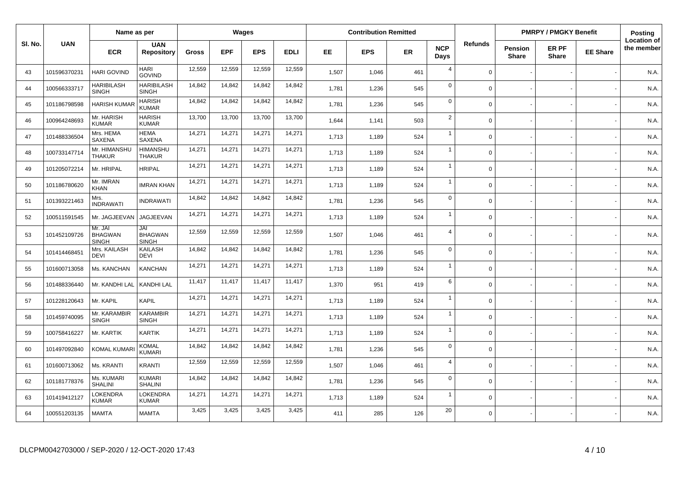|         |              | Name as per                               |                                       |              |            | Wages      |             |       | <b>Contribution Remitted</b> |     |                    |                |                                | <b>PMRPY / PMGKY Benefit</b> |                 | Posting                          |
|---------|--------------|-------------------------------------------|---------------------------------------|--------------|------------|------------|-------------|-------|------------------------------|-----|--------------------|----------------|--------------------------------|------------------------------|-----------------|----------------------------------|
| SI. No. | <b>UAN</b>   | <b>ECR</b>                                | <b>UAN</b><br><b>Repository</b>       | <b>Gross</b> | <b>EPF</b> | <b>EPS</b> | <b>EDLI</b> | EE.   | <b>EPS</b>                   | ER  | <b>NCP</b><br>Days | <b>Refunds</b> | <b>Pension</b><br><b>Share</b> | ER PF<br><b>Share</b>        | <b>EE Share</b> | <b>Location of</b><br>the member |
| 43      | 101596370231 | <b>HARI GOVIND</b>                        | HARI<br><b>GOVIND</b>                 | 12,559       | 12,559     | 12,559     | 12,559      | 1,507 | 1,046                        | 461 | $\overline{4}$     | $\mathbf 0$    |                                |                              |                 | N.A.                             |
| 44      | 100566333717 | <b>HARIBILASH</b><br><b>SINGH</b>         | <b>HARIBILASH</b><br><b>SINGH</b>     | 14,842       | 14,842     | 14,842     | 14,842      | 1,781 | 1,236                        | 545 | $\mathbf 0$        | $\Omega$       |                                |                              |                 | N.A.                             |
| 45      | 101186798598 | <b>HARISH KUMAI</b>                       | <b>HARISH</b><br><b>KUMAR</b>         | 14,842       | 14,842     | 14,842     | 14,842      | 1,781 | 1,236                        | 545 | $\mathbf 0$        | $\Omega$       |                                |                              |                 | N.A.                             |
| 46      | 100964248693 | Mr. HARISH<br><b>KUMAR</b>                | <b>HARISH</b><br><b>KUMAR</b>         | 13,700       | 13,700     | 13,700     | 13,700      | 1,644 | 1,141                        | 503 | $\overline{2}$     | $\Omega$       |                                |                              |                 | N.A.                             |
| 47      | 101488336504 | Mrs. HEMA<br><b>SAXENA</b>                | <b>HEMA</b><br>SAXENA                 | 14,271       | 14,271     | 14,271     | 14,271      | 1,713 | 1,189                        | 524 | $\mathbf{1}$       | $\mathbf 0$    |                                |                              |                 | N.A.                             |
| 48      | 100733147714 | Mr. HIMANSHU<br>THAKUR                    | <b>HIMANSHU</b><br><b>THAKUR</b>      | 14,271       | 14,271     | 14,271     | 14,271      | 1,713 | 1,189                        | 524 | $\overline{1}$     | $\Omega$       |                                |                              |                 | N.A.                             |
| 49      | 101205072214 | Mr. HRIPAL                                | <b>HRIPAL</b>                         | 14,271       | 14,271     | 14,271     | 14,271      | 1,713 | 1,189                        | 524 | $\overline{1}$     | $\mathsf 0$    |                                |                              |                 | N.A.                             |
| 50      | 101186780620 | Mr. IMRAN<br><b>KHAN</b>                  | <b>IMRAN KHAN</b>                     | 14,271       | 14,271     | 14,271     | 14,271      | 1,713 | 1,189                        | 524 | $\mathbf{1}$       | $\mathbf 0$    |                                |                              |                 | N.A.                             |
| 51      | 101393221463 | Mrs.<br><b>INDRAWATI</b>                  | <b>INDRAWATI</b>                      | 14,842       | 14,842     | 14,842     | 14,842      | 1,781 | 1,236                        | 545 | $\mathbf 0$        | $\mathbf 0$    |                                |                              |                 | N.A.                             |
| 52      | 100511591545 | Mr. JAGJEEVAN                             | JAGJEEVAN                             | 14,271       | 14,271     | 14,271     | 14,271      | 1,713 | 1,189                        | 524 | $\overline{1}$     | $\Omega$       |                                |                              |                 | N.A.                             |
| 53      | 101452109726 | Mr. JAI<br><b>BHAGWAN</b><br><b>SINGH</b> | JAI<br><b>BHAGWAN</b><br><b>SINGH</b> | 12,559       | 12,559     | 12,559     | 12,559      | 1,507 | 1,046                        | 461 | $\overline{4}$     | $\Omega$       |                                |                              |                 | N.A.                             |
| 54      | 101414468451 | Mrs. KAILASH<br><b>DEVI</b>               | <b>KAILASH</b><br><b>DEVI</b>         | 14,842       | 14,842     | 14,842     | 14,842      | 1,781 | 1,236                        | 545 | $\mathsf 0$        | $\mathbf 0$    |                                |                              |                 | N.A.                             |
| 55      | 101600713058 | Ms. KANCHAN                               | <b>KANCHAN</b>                        | 14,271       | 14,271     | 14,271     | 14,271      | 1,713 | 1,189                        | 524 | $\overline{1}$     | $\Omega$       |                                |                              |                 | N.A.                             |
| 56      | 101488336440 | Mr. KANDHI LAL                            | <b>KANDHI LAL</b>                     | 11,417       | 11,417     | 11,417     | 11,417      | 1,370 | 951                          | 419 | 6                  | $\mathbf 0$    |                                |                              |                 | N.A.                             |
| 57      | 101228120643 | Mr. KAPIL                                 | <b>KAPIL</b>                          | 14,271       | 14,271     | 14,271     | 14,271      | 1,713 | 1,189                        | 524 | $\overline{1}$     | $\Omega$       |                                |                              |                 | N.A.                             |
| 58      | 101459740095 | Mr. KARAMBIR<br><b>SINGH</b>              | <b>KARAMBIR</b><br><b>SINGH</b>       | 14,271       | 14,271     | 14,271     | 14,271      | 1,713 | 1,189                        | 524 | $\mathbf{1}$       | $\Omega$       |                                |                              |                 | N.A.                             |
| 59      | 100758416227 | Mr. KARTIK                                | <b>KARTIK</b>                         | 14,271       | 14,271     | 14,271     | 14,271      | 1,713 | 1,189                        | 524 | $\overline{1}$     | $\Omega$       |                                |                              |                 | N.A.                             |
| 60      | 101497092840 | <b>KOMAL KUMAR</b>                        | <b>KOMAL</b><br><b>KUMARI</b>         | 14,842       | 14,842     | 14,842     | 14,842      | 1,781 | 1,236                        | 545 | $\mathsf 0$        | $\Omega$       |                                |                              |                 | N.A.                             |
| 61      | 101600713062 | Ms. KRANTI                                | <b>KRANTI</b>                         | 12,559       | 12,559     | 12,559     | 12,559      | 1,507 | 1,046                        | 461 | $\overline{4}$     | $\Omega$       |                                |                              |                 | N.A.                             |
| 62      | 101181778376 | Ms. KUMARI<br><b>SHALINI</b>              | <b>KUMARI</b><br><b>SHALINI</b>       | 14,842       | 14,842     | 14,842     | 14,842      | 1,781 | 1,236                        | 545 | $\mathsf 0$        | $\Omega$       |                                |                              |                 | N.A.                             |
| 63      | 101419412127 | LOKENDRA<br><b>KUMAR</b>                  | <b>LOKENDRA</b><br><b>KUMAR</b>       | 14,271       | 14,271     | 14,271     | 14,271      | 1,713 | 1,189                        | 524 | $\overline{1}$     | $\Omega$       |                                |                              |                 | N.A.                             |
| 64      | 100551203135 | <b>MAMTA</b>                              | <b>MAMTA</b>                          | 3,425        | 3,425      | 3,425      | 3,425       | 411   | 285                          | 126 | 20                 | $\Omega$       |                                |                              |                 | N.A.                             |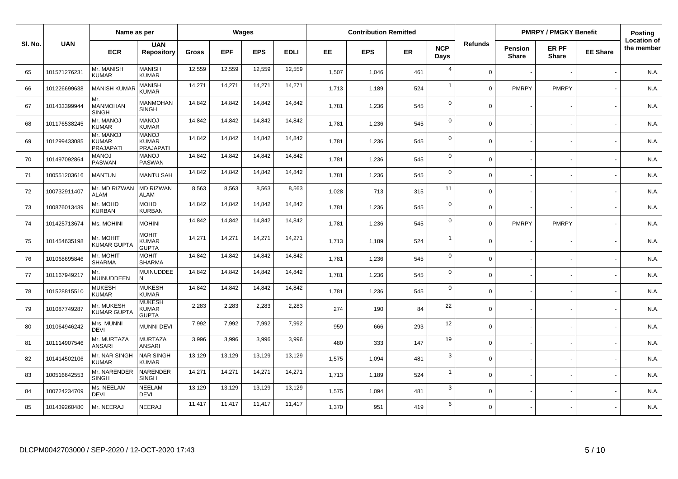|         |              | Name as per                                   |                                                  |        | Wages      |            |             |       | <b>Contribution Remitted</b> |           |                    |                |                         | <b>PMRPY / PMGKY Benefit</b> |                 | Posting                          |
|---------|--------------|-----------------------------------------------|--------------------------------------------------|--------|------------|------------|-------------|-------|------------------------------|-----------|--------------------|----------------|-------------------------|------------------------------|-----------------|----------------------------------|
| SI. No. | <b>UAN</b>   | <b>ECR</b>                                    | <b>UAN</b><br><b>Repository</b>                  | Gross  | <b>EPF</b> | <b>EPS</b> | <b>EDLI</b> | EE.   | <b>EPS</b>                   | <b>ER</b> | <b>NCP</b><br>Days | <b>Refunds</b> | <b>Pension</b><br>Share | ER PF<br><b>Share</b>        | <b>EE Share</b> | <b>Location of</b><br>the member |
| 65      | 101571276231 | Mr. MANISH<br><b>KUMAR</b>                    | <b>MANISH</b><br><b>KUMAR</b>                    | 12,559 | 12,559     | 12,559     | 12,559      | 1,507 | 1,046                        | 461       | $\overline{4}$     | $\Omega$       |                         |                              |                 | N.A.                             |
| 66      | 101226699638 | <b>MANISH KUMA</b>                            | <b>MANISH</b><br><b>KUMAR</b>                    | 14,271 | 14,271     | 14,271     | 14,271      | 1,713 | 1,189                        | 524       | $\overline{1}$     | $\Omega$       | <b>PMRPY</b>            | <b>PMRPY</b>                 |                 | N.A.                             |
| 67      | 101433399944 | Mr.<br><b>MANMOHAN</b><br><b>SINGH</b>        | <b>MANMOHAN</b><br><b>SINGH</b>                  | 14,842 | 14,842     | 14,842     | 14,842      | 1,781 | 1,236                        | 545       | $\mathbf 0$        | $\Omega$       |                         |                              |                 | N.A.                             |
| 68      | 101176538245 | Mr. MANOJ<br><b>KUMAR</b>                     | <b>MANOJ</b><br><b>KUMAR</b>                     | 14,842 | 14,842     | 14,842     | 14,842      | 1,781 | 1,236                        | 545       | $\mathbf 0$        | $\Omega$       |                         |                              |                 | N.A.                             |
| 69      | 101299433085 | Mr. MANOJ<br><b>KUMAR</b><br><b>PRAJAPATI</b> | <b>MANOJ</b><br><b>KUMAR</b><br><b>PRAJAPATI</b> | 14,842 | 14,842     | 14,842     | 14,842      | 1,781 | 1,236                        | 545       | $\mathbf 0$        | $\Omega$       |                         |                              |                 | N.A.                             |
| 70      | 101497092864 | <b>MANOJ</b><br><b>PASWAN</b>                 | <b>MANOJ</b><br>PASWAN                           | 14,842 | 14,842     | 14,842     | 14,842      | 1,781 | 1,236                        | 545       | $\mathbf 0$        | $\mathbf 0$    |                         |                              |                 | N.A.                             |
| 71      | 100551203616 | <b>MANTUN</b>                                 | <b>MANTU SAH</b>                                 | 14,842 | 14,842     | 14,842     | 14,842      | 1,781 | 1,236                        | 545       | $\mathbf 0$        | $\mathbf 0$    |                         |                              |                 | N.A.                             |
| 72      | 100732911407 | Mr. MD RIZWAN<br><b>ALAM</b>                  | <b>MD RIZWAN</b><br><b>ALAM</b>                  | 8,563  | 8,563      | 8,563      | 8,563       | 1,028 | 713                          | 315       | 11                 | $\Omega$       |                         |                              |                 | N.A.                             |
| 73      | 100876013439 | Mr. MOHD<br><b>KURBAN</b>                     | <b>MOHD</b><br><b>KURBAN</b>                     | 14,842 | 14,842     | 14,842     | 14,842      | 1,781 | 1,236                        | 545       | $\mathbf 0$        | $\Omega$       |                         |                              |                 | N.A.                             |
| 74      | 101425713674 | Ms. MOHINI                                    | <b>MOHINI</b>                                    | 14,842 | 14,842     | 14,842     | 14,842      | 1,781 | 1,236                        | 545       | $\mathbf 0$        | $\mathbf 0$    | <b>PMRPY</b>            | <b>PMRPY</b>                 |                 | N.A.                             |
| 75      | 101454635198 | Mr. MOHIT<br><b>KUMAR GUPTA</b>               | <b>MOHIT</b><br><b>KUMAR</b><br><b>GUPTA</b>     | 14,271 | 14,271     | 14,271     | 14,271      | 1,713 | 1,189                        | 524       | $\overline{1}$     | $\Omega$       |                         |                              |                 | N.A.                             |
| 76      | 101068695846 | Mr. MOHIT<br><b>SHARMA</b>                    | <b>MOHIT</b><br><b>SHARMA</b>                    | 14,842 | 14,842     | 14,842     | 14,842      | 1,781 | 1,236                        | 545       | $\mathbf 0$        | $\mathbf 0$    |                         |                              |                 | N.A.                             |
| 77      | 101167949217 | Mr.<br><b>MUINUDDEEN</b>                      | MUINUDDEE<br>N                                   | 14,842 | 14,842     | 14,842     | 14,842      | 1,781 | 1,236                        | 545       | $\mathbf 0$        | $\Omega$       |                         |                              |                 | N.A.                             |
| 78      | 101528815510 | <b>MUKESH</b><br><b>KUMAR</b>                 | <b>MUKESH</b><br><b>KUMAR</b>                    | 14,842 | 14,842     | 14,842     | 14,842      | 1.781 | 1,236                        | 545       | $\mathbf 0$        | $\Omega$       |                         |                              |                 | N.A.                             |
| 79      | 101087749287 | Mr. MUKESH<br><b>KUMAR GUPTA</b>              | <b>MUKESH</b><br><b>KUMAR</b><br><b>GUPTA</b>    | 2,283  | 2,283      | 2,283      | 2,283       | 274   | 190                          | 84        | 22                 | $\Omega$       |                         |                              |                 | N.A.                             |
| 80      | 101064946242 | Mrs. MUNNI<br><b>DEVI</b>                     | <b>MUNNI DEVI</b>                                | 7,992  | 7,992      | 7,992      | 7,992       | 959   | 666                          | 293       | 12                 | $\Omega$       |                         |                              |                 | N.A.                             |
| 81      | 101114907546 | Mr. MURTAZA<br><b>ANSARI</b>                  | <b>MURTAZA</b><br><b>ANSARI</b>                  | 3,996  | 3,996      | 3,996      | 3,996       | 480   | 333                          | 147       | 19                 | $\Omega$       |                         |                              |                 | N.A.                             |
| 82      | 101414502106 | Mr. NAR SINGH<br><b>KUMAR</b>                 | <b>NAR SINGH</b><br><b>KUMAR</b>                 | 13,129 | 13,129     | 13,129     | 13,129      | 1,575 | 1,094                        | 481       | 3                  | $\mathbf 0$    |                         |                              |                 | N.A.                             |
| 83      | 100516642553 | Mr. NARENDER<br><b>SINGH</b>                  | NARENDER<br><b>SINGH</b>                         | 14,271 | 14,271     | 14,271     | 14,271      | 1,713 | 1,189                        | 524       | $\overline{1}$     | $\Omega$       |                         |                              |                 | N.A.                             |
| 84      | 100724234709 | Ms. NEELAM<br><b>DEVI</b>                     | NEELAM<br><b>DEVI</b>                            | 13,129 | 13,129     | 13,129     | 13,129      | 1,575 | 1,094                        | 481       | 3                  | $\Omega$       |                         |                              |                 | N.A.                             |
| 85      | 101439260480 | Mr. NEERAJ                                    | NEERAJ                                           | 11,417 | 11,417     | 11,417     | 11,417      | 1,370 | 951                          | 419       | 6                  | $\Omega$       |                         |                              |                 | N.A.                             |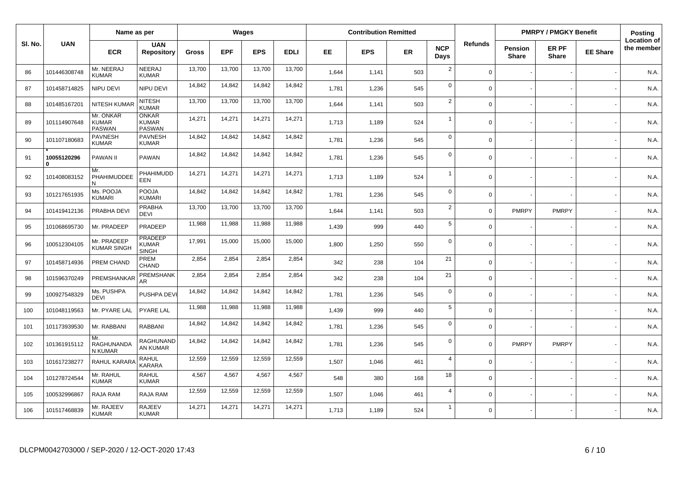|         |                  | Name as per                                |                                                |        | Wages      |            |             |       | <b>Contribution Remitted</b> |           |                    |                |                         | <b>PMRPY / PMGKY Benefit</b> |                 | Posting                          |
|---------|------------------|--------------------------------------------|------------------------------------------------|--------|------------|------------|-------------|-------|------------------------------|-----------|--------------------|----------------|-------------------------|------------------------------|-----------------|----------------------------------|
| SI. No. | <b>UAN</b>       | <b>ECR</b>                                 | <b>UAN</b><br><b>Repository</b>                | Gross  | <b>EPF</b> | <b>EPS</b> | <b>EDLI</b> | EE.   | <b>EPS</b>                   | <b>ER</b> | <b>NCP</b><br>Days | <b>Refunds</b> | Pension<br><b>Share</b> | ER PF<br><b>Share</b>        | <b>EE Share</b> | <b>Location of</b><br>the member |
| 86      | 101446308748     | Mr. NEERAJ<br><b>KUMAR</b>                 | NEERAJ<br><b>KUMAR</b>                         | 13,700 | 13,700     | 13,700     | 13,700      | 1,644 | 1,141                        | 503       | $\overline{2}$     | $\mathbf 0$    |                         |                              |                 | N.A.                             |
| 87      | 101458714825     | NIPU DEVI                                  | NIPU DEVI                                      | 14,842 | 14,842     | 14,842     | 14,842      | 1,781 | 1,236                        | 545       | $\mathbf 0$        | $\mathbf 0$    |                         |                              |                 | N.A.                             |
| 88      | 101485167201     | NITESH KUMA                                | <b>NITESH</b><br><b>KUMAR</b>                  | 13,700 | 13,700     | 13,700     | 13,700      | 1,644 | 1,141                        | 503       | $\overline{2}$     | $\mathbf 0$    |                         |                              |                 | N.A.                             |
| 89      | 101114907648     | Mr. ONKAR<br><b>KUMAR</b><br><b>PASWAN</b> | <b>ONKAR</b><br><b>KUMAR</b><br><b>PASWAN</b>  | 14,271 | 14,271     | 14,271     | 14,271      | 1,713 | 1,189                        | 524       | $\overline{1}$     | $\mathbf 0$    |                         |                              |                 | N.A.                             |
| 90      | 101107180683     | PAVNESH<br><b>KUMAR</b>                    | <b>PAVNESH</b><br><b>KUMAR</b>                 | 14,842 | 14,842     | 14,842     | 14,842      | 1,781 | 1,236                        | 545       | $\mathbf 0$        | $\mathbf 0$    |                         |                              |                 | N.A.                             |
| 91      | 10055120296<br>n | PAWAN II                                   | PAWAN                                          | 14,842 | 14,842     | 14,842     | 14,842      | 1,781 | 1,236                        | 545       | $\mathbf 0$        | $\mathbf 0$    |                         |                              |                 | N.A.                             |
| 92      | 101408083152     | Mr.<br>PHAHIMUDDEE                         | PHAHIMUDD<br><b>EEN</b>                        | 14,271 | 14,271     | 14,271     | 14,271      | 1,713 | 1,189                        | 524       | $\overline{1}$     | $\mathbf 0$    |                         |                              |                 | N.A.                             |
| 93      | 101217651935     | Ms. POOJA<br><b>KUMARI</b>                 | <b>POOJA</b><br><b>KUMARI</b>                  | 14,842 | 14,842     | 14,842     | 14,842      | 1,781 | 1,236                        | 545       | $\mathbf 0$        | $\mathbf 0$    |                         |                              |                 | N.A.                             |
| 94      | 101419412136     | PRABHA DEVI                                | <b>PRABHA</b><br><b>DEVI</b>                   | 13,700 | 13,700     | 13,700     | 13,700      | 1,644 | 1,141                        | 503       | $\overline{2}$     | $\Omega$       | <b>PMRPY</b>            | <b>PMRPY</b>                 |                 | N.A.                             |
| 95      | 101068695730     | Mr. PRADEEP                                | PRADEEP                                        | 11,988 | 11,988     | 11,988     | 11,988      | 1,439 | 999                          | 440       | $\sqrt{5}$         | $\mathbf 0$    |                         |                              |                 | N.A.                             |
| 96      | 100512304105     | Mr. PRADEEP<br><b>KUMAR SINGH</b>          | <b>PRADEEP</b><br><b>KUMAR</b><br><b>SINGH</b> | 17,991 | 15,000     | 15,000     | 15,000      | 1,800 | 1,250                        | 550       | $\mathbf 0$        | $\mathbf 0$    |                         |                              |                 | N.A.                             |
| 97      | 101458714936     | PREM CHAND                                 | PREM<br>CHAND                                  | 2,854  | 2,854      | 2,854      | 2,854       | 342   | 238                          | 104       | 21                 | $\mathbf 0$    |                         |                              |                 | N.A.                             |
| 98      | 101596370249     | PREMSHANKAR                                | <b>PREMSHANK</b><br>AR                         | 2,854  | 2,854      | 2,854      | 2,854       | 342   | 238                          | 104       | 21                 | $\Omega$       |                         |                              |                 | N.A.                             |
| 99      | 100927548329     | Ms. PUSHPA<br><b>DEVI</b>                  | PUSHPA DEV                                     | 14,842 | 14,842     | 14,842     | 14,842      | 1,781 | 1,236                        | 545       | $\mathbf 0$        | $\mathbf 0$    |                         |                              |                 | N.A.                             |
| 100     | 101048119563     | Mr. PYARE LAL                              | PYARE LAL                                      | 11,988 | 11,988     | 11,988     | 11,988      | 1,439 | 999                          | 440       | $\overline{5}$     | $\mathbf 0$    |                         |                              |                 | N.A.                             |
| 101     | 101173939530     | Mr. RABBANI                                | <b>RABBANI</b>                                 | 14,842 | 14,842     | 14,842     | 14,842      | 1,781 | 1,236                        | 545       | $\mathbf 0$        | $\mathbf 0$    |                         |                              |                 | N.A.                             |
| 102     | 101361915112     | Mr.<br><b>RAGHUNANDA</b><br>N KUMAR        | RAGHUNAND<br>AN KUMAR                          | 14,842 | 14,842     | 14,842     | 14,842      | 1,781 | 1,236                        | 545       | $\mathbf 0$        | $\mathbf 0$    | <b>PMRPY</b>            | <b>PMRPY</b>                 |                 | N.A.                             |
| 103     | 101617238277     | RAHUL KARARA                               | <b>RAHUL</b><br><b>KARARA</b>                  | 12,559 | 12,559     | 12,559     | 12,559      | 1,507 | 1,046                        | 461       | $\overline{4}$     | $\mathbf 0$    |                         |                              |                 | N.A.                             |
| 104     | 101278724544     | Mr. RAHUL<br><b>KUMAR</b>                  | <b>RAHUL</b><br><b>KUMAR</b>                   | 4,567  | 4,567      | 4,567      | 4,567       | 548   | 380                          | 168       | 18                 | $\mathbf 0$    |                         |                              |                 | N.A.                             |
| 105     | 100532996867     | RAJA RAM                                   | RAJA RAM                                       | 12,559 | 12,559     | 12,559     | 12,559      | 1,507 | 1,046                        | 461       | $\overline{4}$     | $\mathbf 0$    |                         |                              |                 | N.A.                             |
| 106     | 101517468839     | Mr. RAJEEV<br><b>KUMAR</b>                 | <b>RAJEEV</b><br><b>KUMAR</b>                  | 14,271 | 14,271     | 14,271     | 14,271      | 1,713 | 1,189                        | 524       | $\mathbf{1}$       | $\Omega$       |                         |                              |                 | N.A.                             |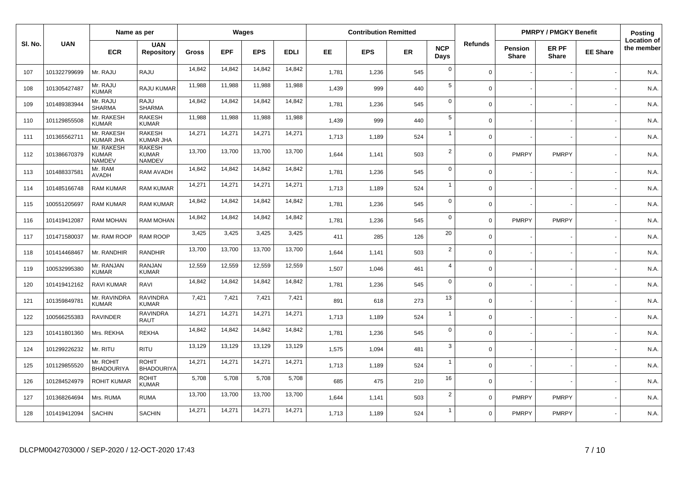|         |              | Name as per                                 |                                                |              |            | Wages      |             |       | <b>Contribution Remitted</b> |           |                    |                |                         | <b>PMRPY / PMGKY Benefit</b> |                 | <b>Posting</b>                   |
|---------|--------------|---------------------------------------------|------------------------------------------------|--------------|------------|------------|-------------|-------|------------------------------|-----------|--------------------|----------------|-------------------------|------------------------------|-----------------|----------------------------------|
| SI. No. | <b>UAN</b>   | <b>ECR</b>                                  | <b>UAN</b><br><b>Repository</b>                | <b>Gross</b> | <b>EPF</b> | <b>EPS</b> | <b>EDLI</b> | EE    | <b>EPS</b>                   | <b>ER</b> | <b>NCP</b><br>Days | <b>Refunds</b> | Pension<br><b>Share</b> | ER PF<br><b>Share</b>        | <b>EE Share</b> | <b>Location of</b><br>the member |
| 107     | 101322799699 | Mr. RAJU                                    | RAJU                                           | 14,842       | 14,842     | 14,842     | 14,842      | 1,781 | 1,236                        | 545       | $\mathbf 0$        | $\Omega$       |                         |                              |                 | N.A.                             |
| 108     | 101305427487 | Mr. RAJU<br><b>KUMAR</b>                    | RAJU KUMAR                                     | 11,988       | 11,988     | 11,988     | 11,988      | 1,439 | 999                          | 440       | $\sqrt{5}$         | $\Omega$       |                         |                              |                 | N.A.                             |
| 109     | 101489383944 | Mr. RAJU<br><b>SHARMA</b>                   | RAJU<br><b>SHARMA</b>                          | 14,842       | 14,842     | 14,842     | 14,842      | 1,781 | 1,236                        | 545       | $\mathbf 0$        | $\Omega$       |                         |                              |                 | N.A.                             |
| 110     | 101129855508 | Mr. RAKESH<br><b>KUMAR</b>                  | <b>RAKESH</b><br><b>KUMAR</b>                  | 11,988       | 11,988     | 11,988     | 11,988      | 1,439 | 999                          | 440       | $\sqrt{5}$         | $\Omega$       |                         |                              |                 | N.A.                             |
| 111     | 101365562711 | Mr. RAKESH<br><b>KUMAR JHA</b>              | <b>RAKESH</b><br><b>KUMAR JHA</b>              | 14,271       | 14,271     | 14,271     | 14,271      | 1,713 | 1,189                        | 524       | $\overline{1}$     | $\Omega$       |                         |                              |                 | N.A.                             |
| 112     | 101386670379 | Mr. RAKESH<br><b>KUMAR</b><br><b>NAMDEV</b> | <b>RAKESH</b><br><b>KUMAR</b><br><b>NAMDEV</b> | 13,700       | 13,700     | 13,700     | 13,700      | 1,644 | 1,141                        | 503       | $\overline{2}$     | $\mathbf 0$    | <b>PMRPY</b>            | <b>PMRPY</b>                 |                 | N.A.                             |
| 113     | 101488337581 | Mr. RAM<br><b>AVADH</b>                     | RAM AVADH                                      | 14,842       | 14,842     | 14,842     | 14,842      | 1,781 | 1,236                        | 545       | $\mathbf 0$        | $\Omega$       |                         |                              |                 | N.A.                             |
| 114     | 101485166748 | <b>RAM KUMAR</b>                            | <b>RAM KUMAR</b>                               | 14,271       | 14,271     | 14,271     | 14,271      | 1,713 | 1,189                        | 524       | $\overline{1}$     | $\Omega$       |                         |                              |                 | N.A.                             |
| 115     | 100551205697 | <b>RAM KUMAR</b>                            | RAM KUMAR                                      | 14,842       | 14,842     | 14,842     | 14,842      | 1,781 | 1,236                        | 545       | $\mathbf 0$        | $\Omega$       |                         |                              |                 | N.A.                             |
| 116     | 101419412087 | RAM MOHAN                                   | RAM MOHAN                                      | 14,842       | 14,842     | 14,842     | 14,842      | 1,781 | 1,236                        | 545       | $\mathbf 0$        | $\Omega$       | <b>PMRPY</b>            | <b>PMRPY</b>                 |                 | N.A.                             |
| 117     | 101471580037 | Mr. RAM ROOP                                | <b>RAM ROOP</b>                                | 3,425        | 3,425      | 3,425      | 3,425       | 411   | 285                          | 126       | 20                 | $\mathbf 0$    |                         |                              |                 | N.A.                             |
| 118     | 101414468467 | Mr. RANDHIR                                 | <b>RANDHIR</b>                                 | 13,700       | 13,700     | 13,700     | 13,700      | 1,644 | 1,141                        | 503       | $\overline{2}$     | $\mathbf 0$    |                         |                              |                 | N.A.                             |
| 119     | 100532995380 | Mr. RANJAN<br><b>KUMAR</b>                  | <b>RANJAN</b><br><b>KUMAR</b>                  | 12,559       | 12,559     | 12,559     | 12,559      | 1,507 | 1,046                        | 461       | $\overline{4}$     | $\mathbf 0$    |                         |                              |                 | N.A.                             |
| 120     | 101419412162 | <b>RAVI KUMAR</b>                           | RAVI                                           | 14,842       | 14,842     | 14,842     | 14,842      | 1,781 | 1,236                        | 545       | $\mathbf 0$        | $\mathbf 0$    |                         |                              |                 | N.A.                             |
| 121     | 101359849781 | Mr. RAVINDRA<br><b>KUMAR</b>                | <b>RAVINDRA</b><br><b>KUMAR</b>                | 7,421        | 7,421      | 7,421      | 7,421       | 891   | 618                          | 273       | 13                 | $\Omega$       |                         |                              |                 | N.A.                             |
| 122     | 100566255383 | <b>RAVINDER</b>                             | <b>RAVINDRA</b><br><b>RAUT</b>                 | 14,271       | 14,271     | 14,271     | 14,271      | 1,713 | 1,189                        | 524       | $\overline{1}$     | $\mathbf 0$    |                         |                              |                 | N.A.                             |
| 123     | 101411801360 | Mrs. REKHA                                  | <b>REKHA</b>                                   | 14,842       | 14,842     | 14,842     | 14,842      | 1,781 | 1,236                        | 545       | $\mathbf 0$        | $\Omega$       |                         |                              |                 | N.A.                             |
| 124     | 101299226232 | Mr. RITU                                    | <b>RITU</b>                                    | 13,129       | 13,129     | 13,129     | 13,129      | 1,575 | 1,094                        | 481       | $\mathbf{3}$       | $\Omega$       |                         |                              |                 | N.A.                             |
| 125     | 101129855520 | Mr. ROHIT<br><b>BHADOURIYA</b>              | <b>ROHIT</b><br><b>BHADOURIYA</b>              | 14,271       | 14,271     | 14,271     | 14,271      | 1,713 | 1,189                        | 524       | $\overline{1}$     | $\Omega$       |                         |                              |                 | N.A.                             |
| 126     | 101284524979 | ROHIT KUMAR                                 | ROHIT<br><b>KUMAR</b>                          | 5,708        | 5,708      | 5,708      | 5,708       | 685   | 475                          | 210       | 16                 | $\Omega$       |                         |                              |                 | N.A.                             |
| 127     | 101368264694 | Mrs. RUMA                                   | <b>RUMA</b>                                    | 13,700       | 13,700     | 13,700     | 13,700      | 1,644 | 1,141                        | 503       | $\overline{2}$     | $\Omega$       | <b>PMRPY</b>            | <b>PMRPY</b>                 |                 | N.A.                             |
| 128     | 101419412094 | <b>SACHIN</b>                               | SACHIN                                         | 14,271       | 14,271     | 14,271     | 14,271      | 1,713 | 1,189                        | 524       | $\overline{1}$     | $\Omega$       | <b>PMRPY</b>            | <b>PMRPY</b>                 |                 | N.A.                             |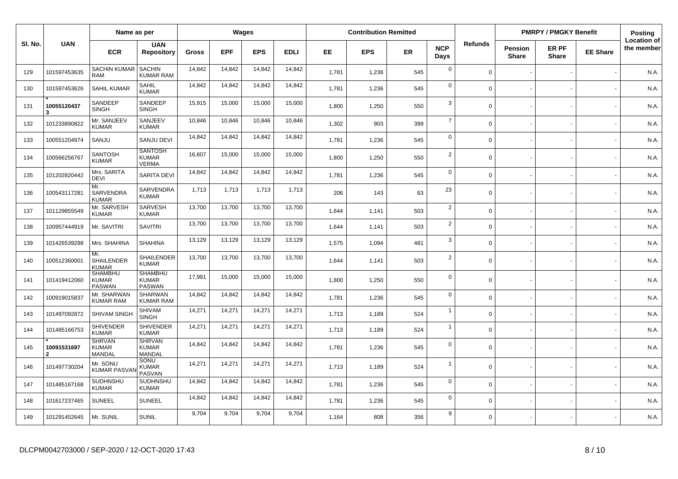|         |              | Name as per                                     |                                                 |        |            | Wages      |             |       | <b>Contribution Remitted</b> |           |                    |                |                         | <b>PMRPY / PMGKY Benefit</b> |                 | Posting                          |
|---------|--------------|-------------------------------------------------|-------------------------------------------------|--------|------------|------------|-------------|-------|------------------------------|-----------|--------------------|----------------|-------------------------|------------------------------|-----------------|----------------------------------|
| SI. No. | <b>UAN</b>   | <b>ECR</b>                                      | <b>UAN</b><br><b>Repository</b>                 | Gross  | <b>EPF</b> | <b>EPS</b> | <b>EDLI</b> | EE.   | <b>EPS</b>                   | <b>ER</b> | <b>NCP</b><br>Days | <b>Refunds</b> | Pension<br><b>Share</b> | ER PF<br><b>Share</b>        | <b>EE Share</b> | <b>Location of</b><br>the member |
| 129     | 101597453635 | <b>SACHIN KUMAR</b><br><b>RAM</b>               | <b>SACHIN</b><br><b>KUMAR RAM</b>               | 14,842 | 14,842     | 14,842     | 14,842      | 1,781 | 1,236                        | 545       | $\mathbf 0$        | $\mathbf 0$    |                         |                              |                 | N.A.                             |
| 130     | 101597453626 | <b>SAHIL KUMAR</b>                              | <b>SAHIL</b><br><b>KUMAR</b>                    | 14,842 | 14,842     | 14,842     | 14,842      | 1,781 | 1,236                        | 545       | $\mathbf 0$        | $\Omega$       |                         |                              |                 | N.A.                             |
| 131     | 10055120437  | SANDEEP<br><b>SINGH</b>                         | SANDEEP<br><b>SINGH</b>                         | 15,915 | 15,000     | 15,000     | 15,000      | 1,800 | 1,250                        | 550       | $\mathbf{3}$       | $\mathbf 0$    |                         |                              |                 | N.A.                             |
| 132     | 101233890822 | Mr. SANJEEV<br><b>KUMAR</b>                     | SANJEEV<br><b>KUMAR</b>                         | 10,846 | 10,846     | 10,846     | 10,846      | 1,302 | 903                          | 399       | $\overline{7}$     | $\mathbf 0$    |                         |                              |                 | N.A.                             |
| 133     | 100551204974 | SANJU                                           | <b>SANJU DEVI</b>                               | 14,842 | 14,842     | 14,842     | 14,842      | 1,781 | 1,236                        | 545       | $\mathbf 0$        | $\mathbf 0$    |                         |                              |                 | N.A.                             |
| 134     | 100566256767 | <b>SANTOSH</b><br><b>KUMAR</b>                  | <b>SANTOSH</b><br><b>KUMAR</b><br><b>VERMA</b>  | 16,607 | 15,000     | 15,000     | 15,000      | 1,800 | 1,250                        | 550       | $\sqrt{2}$         | $\mathbf 0$    |                         |                              |                 | N.A.                             |
| 135     | 101202820442 | Mrs. SARITA<br><b>DEVI</b>                      | <b>SARITA DEVI</b>                              | 14,842 | 14,842     | 14,842     | 14,842      | 1,781 | 1,236                        | 545       | $\mathbf 0$        | $\mathbf 0$    |                         |                              |                 | N.A.                             |
| 136     | 100543117281 | Mr.<br>SARVENDRA<br><b>KUMAR</b>                | SARVENDRA<br><b>KUMAR</b>                       | 1,713  | 1,713      | 1,713      | 1,713       | 206   | 143                          | 63        | 23                 | $\mathbf 0$    |                         |                              |                 | N.A.                             |
| 137     | 101129855549 | Mr. SARVESH<br><b>KUMAR</b>                     | SARVESH<br><b>KUMAR</b>                         | 13,700 | 13,700     | 13,700     | 13,700      | 1,644 | 1,141                        | 503       | $\overline{2}$     | $\mathbf 0$    |                         |                              |                 | N.A.                             |
| 138     | 100957444919 | Mr. SAVITRI                                     | <b>SAVITRI</b>                                  | 13,700 | 13,700     | 13,700     | 13,700      | 1,644 | 1,141                        | 503       | $\overline{2}$     | $\mathbf 0$    |                         |                              |                 | N.A.                             |
| 139     | 101426539288 | Mrs. SHAHINA                                    | <b>SHAHINA</b>                                  | 13,129 | 13,129     | 13,129     | 13,129      | 1,575 | 1,094                        | 481       | 3                  | $\mathbf 0$    |                         |                              |                 | N.A.                             |
| 140     | 100512360001 | Mr.<br>SHAILENDER<br><b>KUMAR</b>               | SHAILENDER<br><b>KUMAR</b>                      | 13,700 | 13,700     | 13,700     | 13,700      | 1,644 | 1,141                        | 503       | $\overline{2}$     | $\Omega$       |                         |                              |                 | N.A.                             |
| 141     | 101419412060 | <b>SHAMBHU</b><br><b>KUMAR</b><br><b>PASWAN</b> | <b>SHAMBHU</b><br><b>KUMAR</b><br><b>PASWAN</b> | 17,991 | 15,000     | 15,000     | 15,000      | 1,800 | 1,250                        | 550       | $\mathbf 0$        | $\mathbf 0$    |                         |                              |                 | N.A.                             |
| 142     | 100919015837 | Mr. SHARWAN<br><b>KUMAR RAM</b>                 | SHARWAN<br><b>KUMAR RAM</b>                     | 14,842 | 14,842     | 14,842     | 14,842      | 1,781 | 1,236                        | 545       | $\mathbf 0$        | $\mathbf 0$    |                         |                              |                 | N.A.                             |
| 143     | 101497092872 | SHIVAM SINGH                                    | <b>SHIVAM</b><br><b>SINGH</b>                   | 14,271 | 14,271     | 14,271     | 14,271      | 1,713 | 1,189                        | 524       | $\mathbf{1}$       | $\mathbf 0$    |                         |                              |                 | N.A.                             |
| 144     | 101485166753 | <b>SHIVENDER</b><br><b>KUMAR</b>                | <b>SHIVENDER</b><br><b>KUMAR</b>                | 14,271 | 14,271     | 14,271     | 14,271      | 1,713 | 1,189                        | 524       | $\mathbf{1}$       | $\Omega$       |                         |                              |                 | N.A.                             |
| 145     | 10091531697  | <b>SHRVAN</b><br><b>KUMAR</b><br>MANDAL         | <b>SHRVAN</b><br><b>KUMAR</b><br>MANDAL         | 14,842 | 14,842     | 14,842     | 14,842      | 1,781 | 1,236                        | 545       | $\mathbf 0$        | $\Omega$       |                         |                              |                 | N.A.                             |
| 146     | 101497730204 | Mr. SONU<br><b>KUMAR PASV/</b>                  | SONU<br><b>KUMAR</b><br>PASVAN                  | 14,271 | 14,271     | 14,271     | 14,271      | 1,713 | 1,189                        | 524       | $\overline{1}$     | $\mathbf 0$    |                         |                              |                 | N.A.                             |
| 147     | 101485167168 | SUDHNSHU<br><b>KUMAR</b>                        | SUDHNSHU<br><b>KUMAR</b>                        | 14,842 | 14,842     | 14,842     | 14,842      | 1,781 | 1,236                        | 545       | $\mathbf 0$        | $\mathbf 0$    |                         |                              |                 | N.A.                             |
| 148     | 101617237465 | <b>SUNEEL</b>                                   | <b>SUNEEL</b>                                   | 14,842 | 14,842     | 14,842     | 14,842      | 1,781 | 1,236                        | 545       | $\mathbf 0$        | $\mathbf 0$    |                         |                              |                 | N.A.                             |
| 149     | 101291452645 | Mr. SUNIL                                       | <b>SUNIL</b>                                    | 9,704  | 9,704      | 9,704      | 9,704       | 1,164 | 808                          | 356       | 9                  | $\mathbf 0$    |                         |                              |                 | N.A.                             |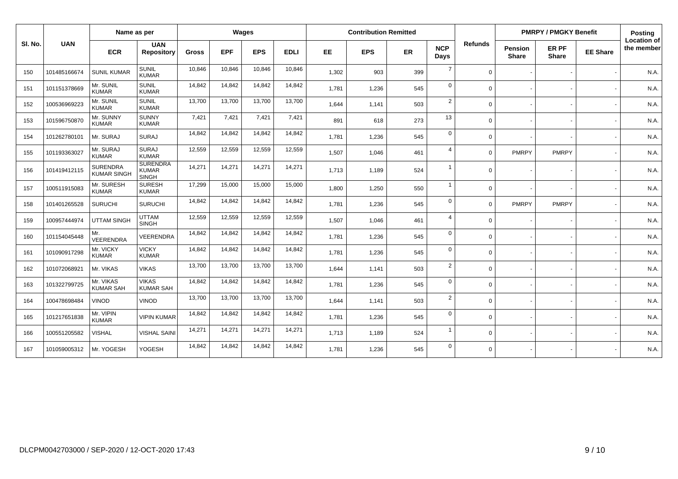|         |              | Name as per                           |                                                 |              |            | Wages      |             |       | <b>Contribution Remitted</b> |           |                    |                |                                | <b>PMRPY / PMGKY Benefit</b> |                 | Posting                          |
|---------|--------------|---------------------------------------|-------------------------------------------------|--------------|------------|------------|-------------|-------|------------------------------|-----------|--------------------|----------------|--------------------------------|------------------------------|-----------------|----------------------------------|
| SI. No. | <b>UAN</b>   | <b>ECR</b>                            | <b>UAN</b><br><b>Repository</b>                 | <b>Gross</b> | <b>EPF</b> | <b>EPS</b> | <b>EDLI</b> | EE.   | <b>EPS</b>                   | <b>ER</b> | <b>NCP</b><br>Days | <b>Refunds</b> | <b>Pension</b><br><b>Share</b> | ER PF<br><b>Share</b>        | <b>EE Share</b> | <b>Location of</b><br>the member |
| 150     | 101485166674 | <b>SUNIL KUMAR</b>                    | <b>SUNIL</b><br><b>KUMAR</b>                    | 10,846       | 10,846     | 10,846     | 10,846      | 1,302 | 903                          | 399       | $\overline{7}$     | $\Omega$       |                                |                              |                 | N.A.                             |
| 151     | 101151378669 | Mr. SUNIL<br><b>KUMAR</b>             | <b>SUNIL</b><br><b>KUMAR</b>                    | 14,842       | 14,842     | 14,842     | 14,842      | 1,781 | 1,236                        | 545       | $\mathbf 0$        | $\Omega$       |                                |                              |                 | N.A.                             |
| 152     | 100536969223 | Mr. SUNIL<br><b>KUMAR</b>             | <b>SUNIL</b><br><b>KUMAR</b>                    | 13,700       | 13,700     | 13,700     | 13,700      | 1,644 | 1,141                        | 503       | $\overline{2}$     | $\Omega$       |                                |                              |                 | N.A.                             |
| 153     | 101596750870 | Mr. SUNNY<br><b>KUMAR</b>             | <b>SUNNY</b><br><b>KUMAR</b>                    | 7,421        | 7,421      | 7,421      | 7,421       | 891   | 618                          | 273       | 13                 | $\Omega$       |                                |                              |                 | N.A.                             |
| 154     | 101262780101 | Mr. SURAJ                             | <b>SURAJ</b>                                    | 14,842       | 14,842     | 14,842     | 14,842      | 1.781 | 1,236                        | 545       | $\mathbf 0$        | $\Omega$       |                                |                              |                 | N.A.                             |
| 155     | 101193363027 | Mr. SURAJ<br><b>KUMAR</b>             | <b>SURAJ</b><br><b>KUMAR</b>                    | 12,559       | 12,559     | 12,559     | 12,559      | 1,507 | 1,046                        | 461       | $\overline{4}$     | $\Omega$       | PMRPY                          | <b>PMRPY</b>                 |                 | N.A.                             |
| 156     | 101419412115 | <b>SURENDRA</b><br><b>KUMAR SINGH</b> | <b>SURENDRA</b><br><b>KUMAR</b><br><b>SINGH</b> | 14,271       | 14,271     | 14,271     | 14,271      | 1,713 | 1,189                        | 524       |                    | $\Omega$       |                                |                              |                 | N.A.                             |
| 157     | 100511915083 | Mr. SURESH<br><b>KUMAR</b>            | <b>SURESH</b><br><b>KUMAR</b>                   | 17,299       | 15,000     | 15,000     | 15,000      | 1,800 | 1,250                        | 550       | 1                  | $\Omega$       |                                |                              |                 | N.A.                             |
| 158     | 101401265528 | <b>SURUCHI</b>                        | <b>SURUCHI</b>                                  | 14,842       | 14,842     | 14,842     | 14,842      | 1,781 | 1,236                        | 545       | $\mathbf 0$        | $\Omega$       | <b>PMRPY</b>                   | <b>PMRPY</b>                 |                 | N.A.                             |
| 159     | 100957444974 | <b>UTTAM SINGH</b>                    | <b>UTTAM</b><br><b>SINGH</b>                    | 12,559       | 12,559     | 12,559     | 12,559      | 1,507 | 1,046                        | 461       | $\overline{4}$     | $\Omega$       |                                |                              |                 | N.A.                             |
| 160     | 101154045448 | Mr.<br>VEERENDRA                      | <b>VEERENDRA</b>                                | 14,842       | 14,842     | 14,842     | 14,842      | 1.781 | 1,236                        | 545       | $\mathbf 0$        | $\Omega$       |                                |                              |                 | N.A.                             |
| 161     | 101090917298 | Mr. VICKY<br><b>KUMAR</b>             | <b>VICKY</b><br><b>KUMAR</b>                    | 14,842       | 14,842     | 14,842     | 14,842      | 1.781 | 1,236                        | 545       | $\mathbf 0$        | $\Omega$       |                                |                              |                 | N.A.                             |
| 162     | 101072068921 | Mr. VIKAS                             | <b>VIKAS</b>                                    | 13,700       | 13,700     | 13,700     | 13,700      | 1.644 | 1,141                        | 503       | $\overline{2}$     | $\Omega$       |                                |                              |                 | N.A.                             |
| 163     | 101322799725 | Mr. VIKAS<br><b>KUMAR SAH</b>         | <b>VIKAS</b><br><b>KUMAR SAH</b>                | 14,842       | 14,842     | 14,842     | 14,842      | 1,781 | 1,236                        | 545       | $\mathbf 0$        | $\Omega$       |                                |                              |                 | N.A.                             |
| 164     | 100478698484 | <b>VINOD</b>                          | VINOD                                           | 13,700       | 13,700     | 13,700     | 13,700      | 1.644 | 1,141                        | 503       | 2                  | $\Omega$       |                                |                              |                 | N.A.                             |
| 165     | 101217651838 | Mr. VIPIN<br><b>KUMAR</b>             | <b>VIPIN KUMAR</b>                              | 14,842       | 14,842     | 14,842     | 14,842      | 1,781 | 1,236                        | 545       | $\mathbf 0$        | $\Omega$       |                                |                              |                 | N.A.                             |
| 166     | 100551205582 | VISHAL                                | VISHAL SAINI                                    | 14,271       | 14,271     | 14,271     | 14,271      | 1.713 | 1,189                        | 524       |                    | $\Omega$       |                                |                              |                 | N.A.                             |
| 167     | 101059005312 | Mr. YOGESH                            | YOGESH                                          | 14,842       | 14,842     | 14,842     | 14,842      | 1.781 | 1,236                        | 545       | $\mathbf 0$        | $\Omega$       |                                |                              |                 | N.A.                             |